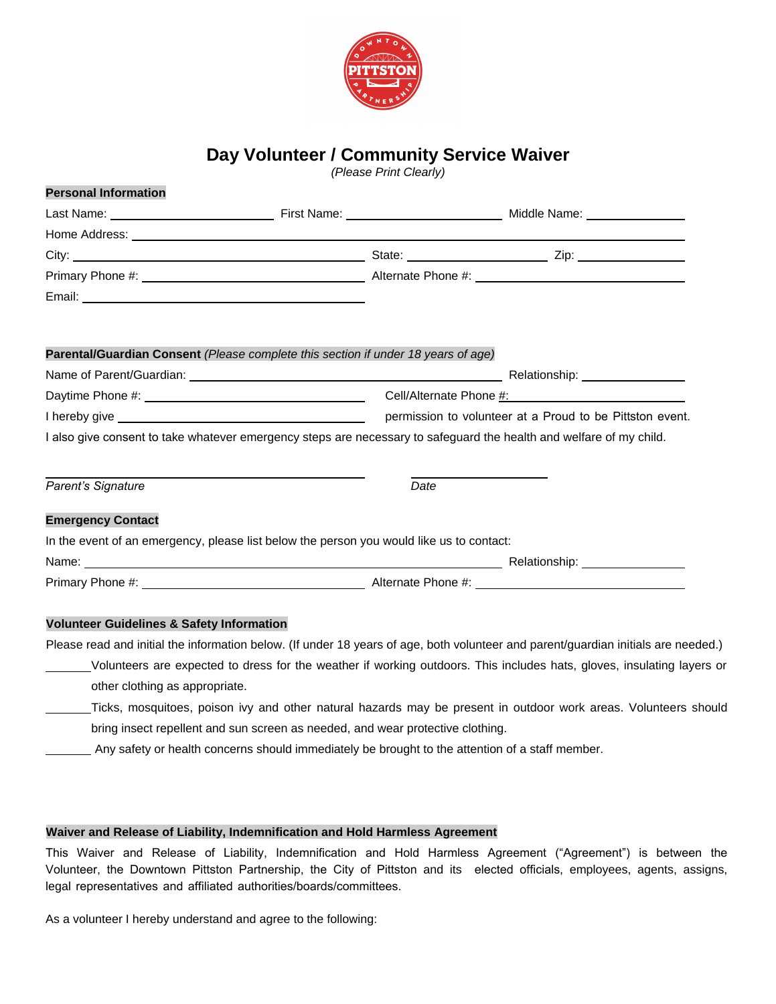

## **Day Volunteer / Community Service Waiver**

*(Please Print Clearly)* 

| <b>FU SUITAL IIIIUI IIIAUUII</b>                                                  |                                                                                          |      |                                                                                                                                                                                                                               |  |
|-----------------------------------------------------------------------------------|------------------------------------------------------------------------------------------|------|-------------------------------------------------------------------------------------------------------------------------------------------------------------------------------------------------------------------------------|--|
|                                                                                   |                                                                                          |      |                                                                                                                                                                                                                               |  |
|                                                                                   |                                                                                          |      |                                                                                                                                                                                                                               |  |
|                                                                                   |                                                                                          |      |                                                                                                                                                                                                                               |  |
|                                                                                   |                                                                                          |      |                                                                                                                                                                                                                               |  |
|                                                                                   |                                                                                          |      |                                                                                                                                                                                                                               |  |
| Parental/Guardian Consent (Please complete this section if under 18 years of age) |                                                                                          |      |                                                                                                                                                                                                                               |  |
|                                                                                   |                                                                                          |      |                                                                                                                                                                                                                               |  |
|                                                                                   |                                                                                          |      |                                                                                                                                                                                                                               |  |
|                                                                                   |                                                                                          |      |                                                                                                                                                                                                                               |  |
|                                                                                   |                                                                                          |      | I also give consent to take whatever emergency steps are necessary to safeguard the health and welfare of my child.                                                                                                           |  |
| Parent's Signature                                                                |                                                                                          | Date |                                                                                                                                                                                                                               |  |
| <b>Emergency Contact</b>                                                          |                                                                                          |      |                                                                                                                                                                                                                               |  |
|                                                                                   | In the event of an emergency, please list below the person you would like us to contact: |      |                                                                                                                                                                                                                               |  |
|                                                                                   |                                                                                          |      | Name: Name and the second contract of the second contract of the second contract of the Second Contract of the Second Contract of the Second Contract of the Second Contract of the Second Contract of the Second Contract of |  |
|                                                                                   |                                                                                          |      |                                                                                                                                                                                                                               |  |
|                                                                                   |                                                                                          |      |                                                                                                                                                                                                                               |  |
| <b>Volunteer Guidelines &amp; Safety Information</b>                              |                                                                                          |      |                                                                                                                                                                                                                               |  |
|                                                                                   |                                                                                          |      | Please read and initial the information below. (If under 18 years of age, both volunteer and parent/guardian initials are needed.)                                                                                            |  |
|                                                                                   |                                                                                          |      | Volunteers are expected to dress for the weather if working outdoors. This includes hats, gloves, insulating layers or                                                                                                        |  |
| other clothing as appropriate.                                                    |                                                                                          |      |                                                                                                                                                                                                                               |  |

- Ticks, mosquitoes, poison ivy and other natural hazards may be present in outdoor work areas. Volunteers should bring insect repellent and sun screen as needed, and wear protective clothing.
	- Any safety or health concerns should immediately be brought to the attention of a staff member.

#### **Waiver and Release of Liability, Indemnification and Hold Harmless Agreement**

This Waiver and Release of Liability, Indemnification and Hold Harmless Agreement ("Agreement") is between the Volunteer, the Downtown Pittston Partnership, the City of Pittston and its elected officials, employees, agents, assigns, legal representatives and affiliated authorities/boards/committees.

As a volunteer I hereby understand and agree to the following:

**Personal Information**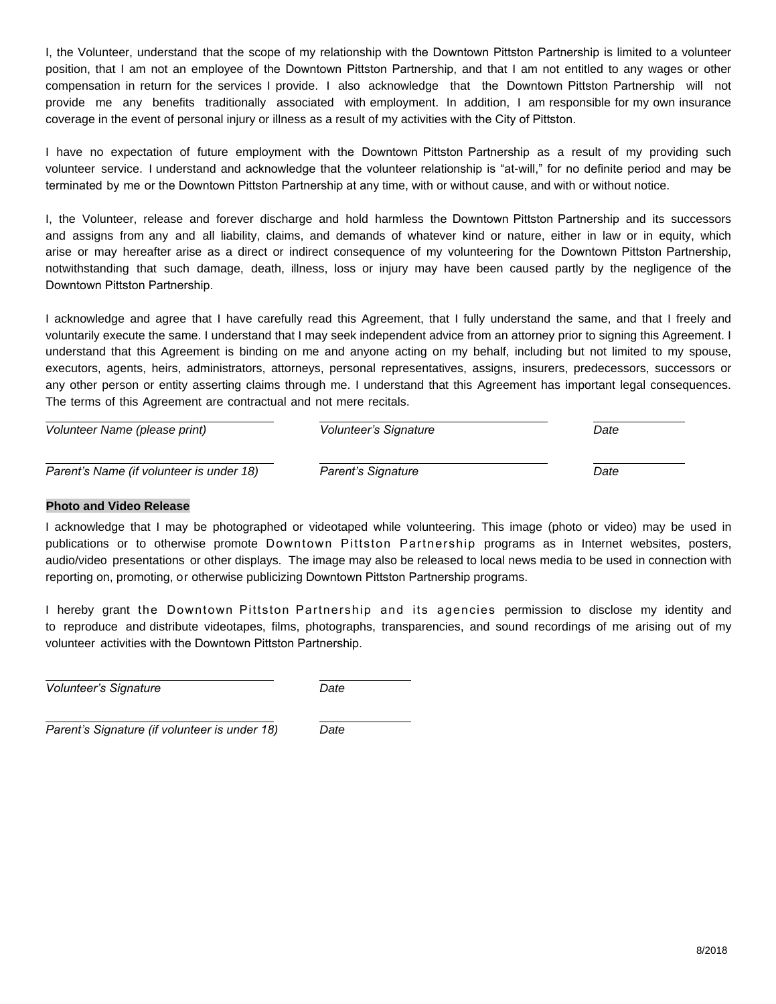I, the Volunteer, understand that the scope of my relationship with the Downtown Pittston Partnership is limited to a volunteer position, that I am not an employee of the Downtown Pittston Partnership, and that I am not entitled to any wages or other compensation in return for the services I provide. I also acknowledge that the Downtown Pittston Partnership will not provide me any benefits traditionally associated with employment. In addition, I am responsible for my own insurance coverage in the event of personal injury or illness as a result of my activities with the City of Pittston.

I have no expectation of future employment with the Downtown Pittston Partnership as a result of my providing such volunteer service. I understand and acknowledge that the volunteer relationship is "at-will," for no definite period and may be terminated by me or the Downtown Pittston Partnership at any time, with or without cause, and with or without notice.

I, the Volunteer, release and forever discharge and hold harmless the Downtown Pittston Partnership and its successors and assigns from any and all liability, claims, and demands of whatever kind or nature, either in law or in equity, which arise or may hereafter arise as a direct or indirect consequence of my volunteering for the Downtown Pittston Partnership, notwithstanding that such damage, death, illness, loss or injury may have been caused partly by the negligence of the Downtown Pittston Partnership.

I acknowledge and agree that I have carefully read this Agreement, that I fully understand the same, and that I freely and voluntarily execute the same. I understand that I may seek independent advice from an attorney prior to signing this Agreement. I understand that this Agreement is binding on me and anyone acting on my behalf, including but not limited to my spouse, executors, agents, heirs, administrators, attorneys, personal representatives, assigns, insurers, predecessors, successors or any other person or entity asserting claims through me. I understand that this Agreement has important legal consequences. The terms of this Agreement are contractual and not mere recitals.

| Volunteer Name (please print)            | Volunteer's Signature | Date |
|------------------------------------------|-----------------------|------|
| Parent's Name (if volunteer is under 18) | Parent's Signature    | Date |

### **Photo and Video Release**

I acknowledge that I may be photographed or videotaped while volunteering. This image (photo or video) may be used in publications or to otherwise promote Downtown Pittston Partnership programs as in Internet websites, posters, audio/video presentations or other displays. The image may also be released to local news media to be used in connection with reporting on, promoting, or otherwise publicizing Downtown Pittston Partnership programs.

I hereby grant the Downtown Pittston Partnership and its agencies permission to disclose my identity and to reproduce and distribute videotapes, films, photographs, transparencies, and sound recordings of me arising out of my volunteer activities with the Downtown Pittston Partnership.

*Volunteer's Signature Date*

*Parent's Signature (if volunteer is under 18) Date*